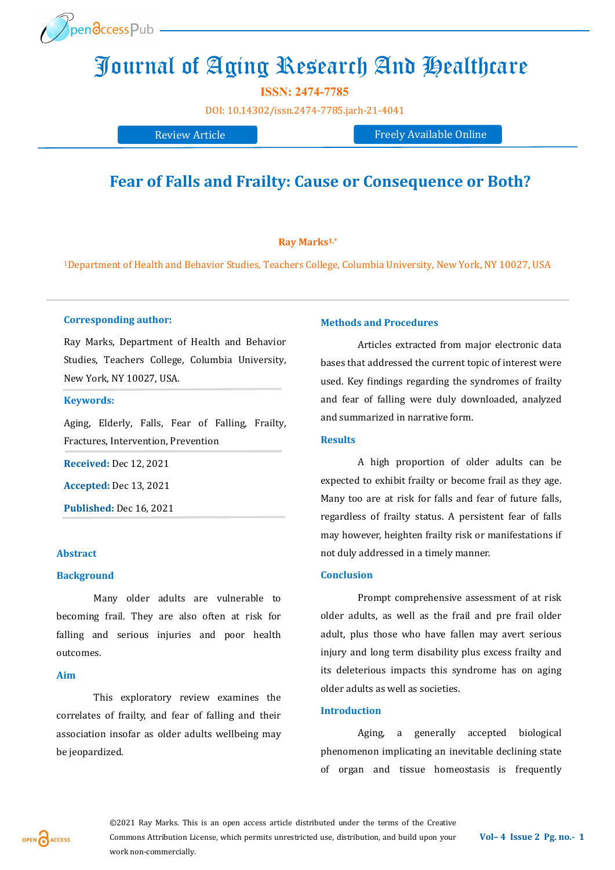

# Journal of Aging Research And Healthcare

**ISSN: 2474-7785** 

[DOI:](https://doi.org/10.14302/issn.2639-3166.jar-21-3872) [10.14302/issn.2474](https://doi.org/10.14302/issn.2474-7785.jarh-21-4041)-7785.jarh-21-4041

Review Article Freely Available Online

# **Fear of Falls and Frailty: Cause or Consequence or Both?**

# **Ray Marks1,\***

<sup>1</sup>Department of Health and Behavior Studies, Teachers College, Columbia University, New York, NY 10027, USA

# **Corresponding author:**

Ray Marks, Department of Health and Behavior Studies, Teachers College, Columbia University, New York, NY 10027, USA.

# **Keywords:**

Aging, Elderly, Falls, Fear of Falling, Frailty, Fractures, Intervention, Prevention

**Received:** Dec 12, 2021

**Accepted:** Dec 13, 2021

**Published:** Dec 16, 2021

#### **Abstract**

# **Background**

Many older adults are vulnerable to becoming frail. They are also often at risk for falling and serious injuries and poor health outcomes.

#### **Aim**

This exploratory review examines the correlates of frailty, and fear of falling and their association insofar as older adults wellbeing may be jeopardized.

# **Methods and Procedures**

Articles extracted from major electronic data bases that addressed the current topic of interest were used. Key findings regarding the syndromes of frailty and fear of falling were duly downloaded, analyzed and summarized in narrative form.

# **Results**

A high proportion of older adults can be expected to exhibit frailty or become frail as they age. Many too are at risk for falls and fear of future falls, regardless of frailty status. A persistent fear of falls may however, heighten frailty risk or manifestations if not duly addressed in a timely manner.

# **Conclusion**

Prompt comprehensive assessment of at risk older adults, as well as the frail and pre frail older adult, plus those who have fallen may avert serious injury and long term disability plus excess frailty and its deleterious impacts this syndrome has on aging older adults as well as societies.

# **Introduction**

Aging, a generally accepted biological phenomenon implicating an inevitable declining state of organ and tissue homeostasis is frequently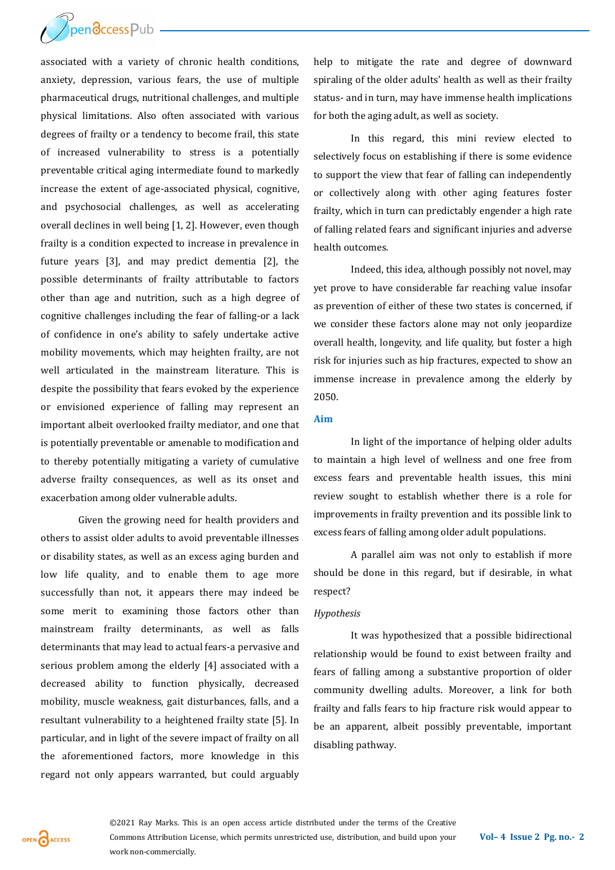

associated with a variety of chronic health conditions, anxiety, depression, various fears, the use of multiple pharmaceutical drugs, nutritional challenges, and multiple physical limitations. Also often associated with various degrees of frailty or a tendency to become frail, this state of increased vulnerability to stress is a potentially preventable critical aging intermediate found to markedly increase the extent of age-associated physical, cognitive, and psychosocial challenges, as well as accelerating overall declines in well being [1, 2]. However, even though frailty is a condition expected to increase in prevalence in future years [3], and may predict dementia [2], the possible determinants of frailty attributable to factors other than age and nutrition, such as a high degree of cognitive challenges including the fear of falling-or a lack of confidence in one's ability to safely undertake active mobility movements, which may heighten frailty, are not well articulated in the mainstream literature. This is despite the possibility that fears evoked by the experience or envisioned experience of falling may represent an important albeit overlooked frailty mediator, and one that is potentially preventable or amenable to modification and to thereby potentially mitigating a variety of cumulative adverse frailty consequences, as well as its onset and exacerbation among older vulnerable adults.

Given the growing need for health providers and others to assist older adults to avoid preventable illnesses or disability states, as well as an excess aging burden and low life quality, and to enable them to age more successfully than not, it appears there may indeed be some merit to examining those factors other than mainstream frailty determinants, as well as falls determinants that may lead to actual fears-a pervasive and serious problem among the elderly [4] associated with a decreased ability to function physically, decreased mobility, muscle weakness, gait disturbances, falls, and a resultant vulnerability to a heightened frailty state [5]. In particular, and in light of the severe impact of frailty on all the aforementioned factors, more knowledge in this regard not only appears warranted, but could arguably help to mitigate the rate and degree of downward spiraling of the older adults' health as well as their frailty status- and in turn, may have immense health implications for both the aging adult, as well as society.

In this regard, this mini review elected to selectively focus on establishing if there is some evidence to support the view that fear of falling can independently or collectively along with other aging features foster frailty, which in turn can predictably engender a high rate of falling related fears and significant injuries and adverse health outcomes.

Indeed, this idea, although possibly not novel, may yet prove to have considerable far reaching value insofar as prevention of either of these two states is concerned, if we consider these factors alone may not only jeopardize overall health, longevity, and life quality, but foster a high risk for injuries such as hip fractures, expected to show an immense increase in prevalence among the elderly by 2050.

#### **Aim**

In light of the importance of helping older adults to maintain a high level of wellness and one free from excess fears and preventable health issues, this mini review sought to establish whether there is a role for improvements in frailty prevention and its possible link to excess fears of falling among older adult populations.

A parallel aim was not only to establish if more should be done in this regard, but if desirable, in what respect?

#### *Hypothesis*

It was hypothesized that a possible bidirectional relationship would be found to exist between frailty and fears of falling among a substantive proportion of older community dwelling adults. Moreover, a link for both frailty and falls fears to hip fracture risk would appear to be an apparent, albeit possibly preventable, important disabling pathway.

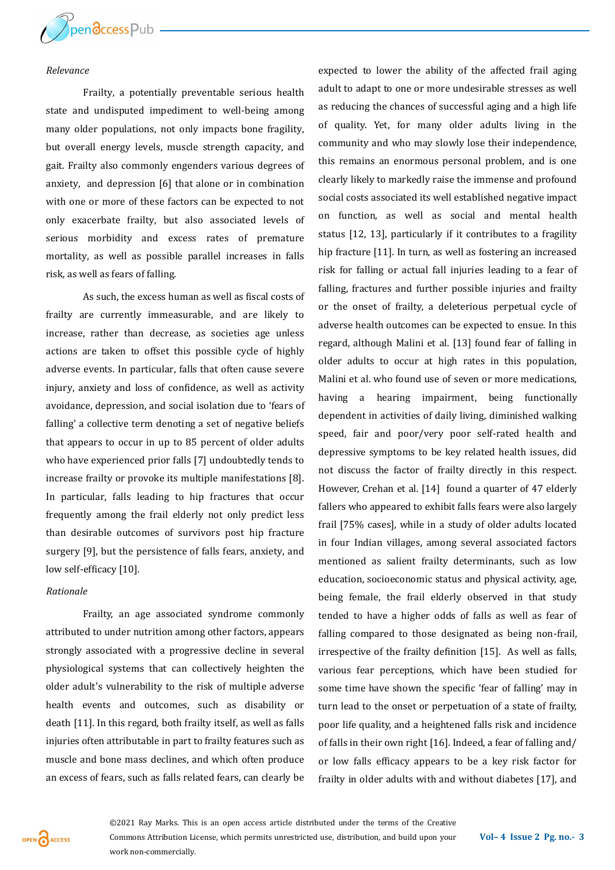

#### *Relevance*

Frailty, a potentially preventable serious health state and undisputed impediment to well-being among many older populations, not only impacts bone fragility, but overall energy levels, muscle strength capacity, and gait. Frailty also commonly engenders various degrees of anxiety, and depression [6] that alone or in combination with one or more of these factors can be expected to not only exacerbate frailty, but also associated levels of serious morbidity and excess rates of premature mortality, as well as possible parallel increases in falls risk, as well as fears of falling.

As such, the excess human as well as fiscal costs of frailty are currently immeasurable, and are likely to increase, rather than decrease, as societies age unless actions are taken to offset this possible cycle of highly adverse events. In particular, falls that often cause severe injury, anxiety and loss of confidence, as well as activity avoidance, depression, and social isolation due to 'fears of falling' a collective term denoting a set of negative beliefs that appears to occur in up to 85 percent of older adults who have experienced prior falls [7] undoubtedly tends to increase frailty or provoke its multiple manifestations [8]. In particular, falls leading to hip fractures that occur frequently among the frail elderly not only predict less than desirable outcomes of survivors post hip fracture surgery [9], but the persistence of falls fears, anxiety, and low self-efficacy [10].

#### *Rationale*

Frailty, an age associated syndrome commonly attributed to under nutrition among other factors, appears strongly associated with a progressive decline in several physiological systems that can collectively heighten the older adult's vulnerability to the risk of multiple adverse health events and outcomes, such as disability or death [11]. In this regard, both frailty itself, as well as falls injuries often attributable in part to frailty features such as muscle and bone mass declines, and which often produce an excess of fears, such as falls related fears, can clearly be

expected to lower the ability of the affected frail aging adult to adapt to one or more undesirable stresses as well as reducing the chances of successful aging and a high life of quality. Yet, for many older adults living in the community and who may slowly lose their independence, this remains an enormous personal problem, and is one clearly likely to markedly raise the immense and profound social costs associated its well established negative impact on function, as well as social and mental health status [12, 13], particularly if it contributes to a fragility hip fracture [11]. In turn, as well as fostering an increased risk for falling or actual fall injuries leading to a fear of falling, fractures and further possible injuries and frailty or the onset of frailty, a deleterious perpetual cycle of adverse health outcomes can be expected to ensue. In this regard, although Malini et al. [13] found fear of falling in older adults to occur at high rates in this population, Malini et al. who found use of seven or more medications, having a hearing impairment, being functionally dependent in activities of daily living, diminished walking speed, fair and poor/very poor self-rated health and depressive symptoms to be key related health issues, did not discuss the factor of frailty directly in this respect. However, Crehan et al. [14] found a quarter of 47 elderly fallers who appeared to exhibit falls fears were also largely frail [75% cases], while in a study of older adults located in four Indian villages, among several associated factors mentioned as salient frailty determinants, such as low education, socioeconomic status and physical activity, age, being female, the frail elderly observed in that study tended to have a higher odds of falls as well as fear of falling compared to those designated as being non-frail, irrespective of the frailty definition [15]. As well as falls, various fear perceptions, which have been studied for some time have shown the specific 'fear of falling' may in turn lead to the onset or perpetuation of a state of frailty, poor life quality, and a heightened falls risk and incidence of falls in their own right [16]. Indeed, a fear of falling and/ or low falls efficacy appears to be a key risk factor for frailty in older adults with and without diabetes [17], and

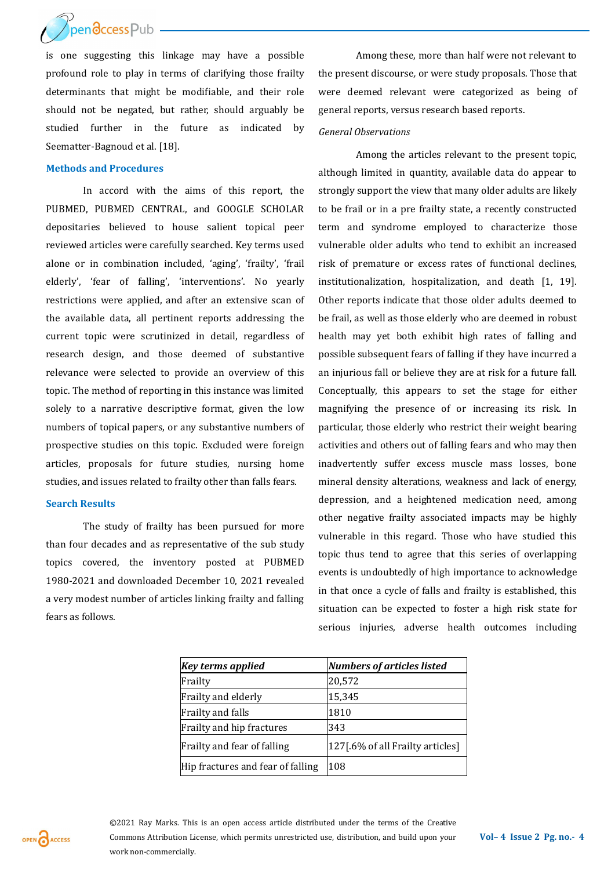

is one suggesting this linkage may have a possible profound role to play in terms of clarifying those frailty determinants that might be modifiable, and their role should not be negated, but rather, should arguably be studied further in the future as indicated by Seematter-Bagnoud et al. [18].

# **Methods and Procedures**

In accord with the aims of this report, the PUBMED, PUBMED CENTRAL, and GOOGLE SCHOLAR depositaries believed to house salient topical peer reviewed articles were carefully searched. Key terms used alone or in combination included, 'aging', 'frailty', 'frail elderly', 'fear of falling', 'interventions'. No yearly restrictions were applied, and after an extensive scan of the available data, all pertinent reports addressing the current topic were scrutinized in detail, regardless of research design, and those deemed of substantive relevance were selected to provide an overview of this topic. The method of reporting in this instance was limited solely to a narrative descriptive format, given the low numbers of topical papers, or any substantive numbers of prospective studies on this topic. Excluded were foreign articles, proposals for future studies, nursing home studies, and issues related to frailty other than falls fears.

## **Search Results**

The study of frailty has been pursued for more than four decades and as representative of the sub study topics covered, the inventory posted at PUBMED 1980-2021 and downloaded December 10, 2021 revealed a very modest number of articles linking frailty and falling fears as follows.

Among these, more than half were not relevant to the present discourse*,* or were study proposals. Those that were deemed relevant were categorized as being of general reports, versus research based reports.

# *General Observations*

Among the articles relevant to the present topic, although limited in quantity, available data do appear to strongly support the view that many older adults are likely to be frail or in a pre frailty state, a recently constructed term and syndrome employed to characterize those vulnerable older adults who tend to exhibit an increased risk of premature or excess rates of functional declines, institutionalization, hospitalization, and death [1, 19]. Other reports indicate that those older adults deemed to be frail, as well as those elderly who are deemed in robust health may yet both exhibit high rates of falling and possible subsequent fears of falling if they have incurred a an injurious fall or believe they are at risk for a future fall. Conceptually, this appears to set the stage for either magnifying the presence of or increasing its risk. In particular, those elderly who restrict their weight bearing activities and others out of falling fears and who may then inadvertently suffer excess muscle mass losses, bone mineral density alterations, weakness and lack of energy, depression, and a heightened medication need, among other negative frailty associated impacts may be highly vulnerable in this regard. Those who have studied this topic thus tend to agree that this series of overlapping events is undoubtedly of high importance to acknowledge in that once a cycle of falls and frailty is established, this situation can be expected to foster a high risk state for serious injuries, adverse health outcomes including

| <b>Key terms applied</b>          | <b>Numbers of articles listed</b> |
|-----------------------------------|-----------------------------------|
| Frailty                           | 20,572                            |
| Frailty and elderly               | 15,345                            |
| Frailty and falls                 | 1810                              |
| Frailty and hip fractures         | 343                               |
| Frailty and fear of falling       | [127].6% of all Frailty articles] |
| Hip fractures and fear of falling | 108                               |

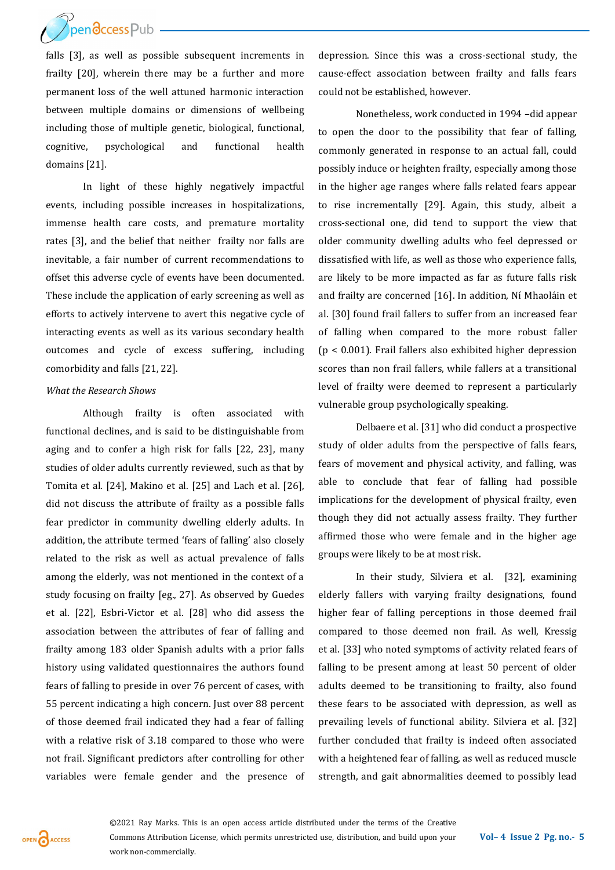

falls [3], as well as possible subsequent increments in frailty [20], wherein there may be a further and more permanent loss of the well attuned harmonic interaction between multiple domains or dimensions of wellbeing including those of multiple genetic, biological, functional, cognitive, psychological and functional health domains [21].

In light of these highly negatively impactful events, including possible increases in hospitalizations, immense health care costs, and premature mortality rates [3], and the belief that neither frailty nor falls are inevitable, a fair number of current recommendations to offset this adverse cycle of events have been documented. These include the application of early screening as well as efforts to actively intervene to avert this negative cycle of interacting events as well as its various secondary health outcomes and cycle of excess suffering, including comorbidity and falls [21, 22].

# *What the Research Shows*

Although frailty is often associated with functional declines, and is said to be distinguishable from aging and to confer a high risk for falls [22, 23], many studies of older adults currently reviewed, such as that by Tomita et al. [24], Makino et al. [25] and Lach et al. [26], did not discuss the attribute of frailty as a possible falls fear predictor in community dwelling elderly adults. In addition, the attribute termed 'fears of falling' also closely related to the risk as well as actual prevalence of falls among the elderly, was not mentioned in the context of a study focusing on frailty [eg., 27]. As observed by Guedes et al. [22], Esbri-Victor et al. [28] who did assess the association between the attributes of fear of falling and frailty among 183 older Spanish adults with a prior falls history using validated questionnaires the authors found fears of falling to preside in over 76 percent of cases, with 55 percent indicating a high concern. Just over 88 percent of those deemed frail indicated they had a fear of falling with a relative risk of 3.18 compared to those who were not frail. Significant predictors after controlling for other variables were female gender and the presence of depression. Since this was a cross-sectional study, the cause-effect association between frailty and falls fears could not be established, however.

Nonetheless, work conducted in 1994 –did appear to open the door to the possibility that fear of falling, commonly generated in response to an actual fall, could possibly induce or heighten frailty, especially among those in the higher age ranges where falls related fears appear to rise incrementally [29]. Again, this study, albeit a cross-sectional one, did tend to support the view that older community dwelling adults who feel depressed or dissatisfied with life, as well as those who experience falls, are likely to be more impacted as far as future falls risk and frailty are concerned [16]. In addition, Ní Mhaoláin et al. [30] found frail fallers to suffer from an increased fear of falling when compared to the more robust faller (p < 0.001). Frail fallers also exhibited higher depression scores than non frail fallers, while fallers at a transitional level of frailty were deemed to represent a particularly vulnerable group psychologically speaking.

Delbaere et al. [31] who did conduct a prospective study of older adults from the perspective of falls fears, fears of movement and physical activity, and falling, was able to conclude that fear of falling had possible implications for the development of physical frailty, even though they did not actually assess frailty. They further affirmed those who were female and in the higher age groups were likely to be at most risk.

In their study, Silviera et al. [32], examining elderly fallers with varying frailty designations, found higher fear of falling perceptions in those deemed frail compared to those deemed non frail. As well, Kressig et al. [33] who noted symptoms of activity related fears of falling to be present among at least 50 percent of older adults deemed to be transitioning to frailty, also found these fears to be associated with depression, as well as prevailing levels of functional ability. Silviera et al. [32] further concluded that frailty is indeed often associated with a heightened fear of falling, as well as reduced muscle strength, and gait abnormalities deemed to possibly lead

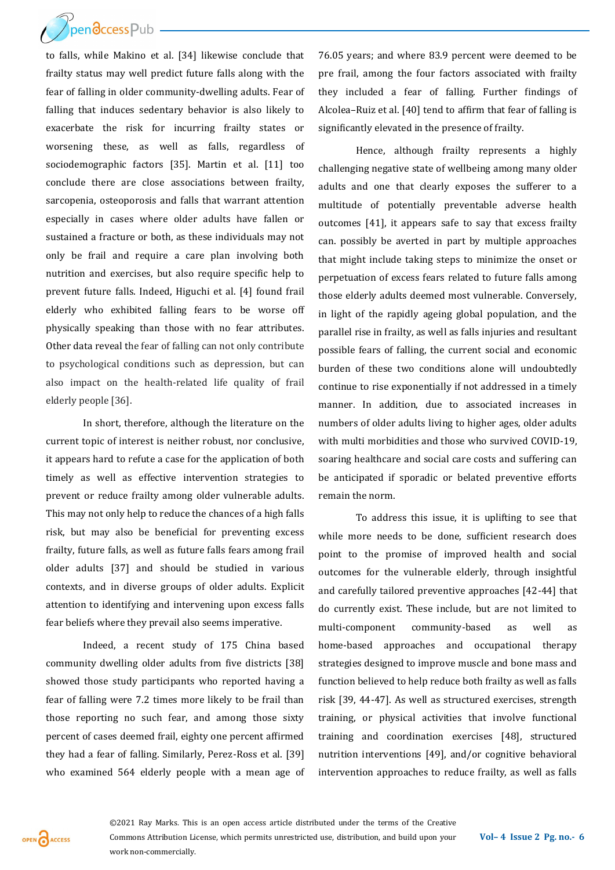$\mathcal{P}_{\text{pen} \mathbf{\mathcal{S}} \text{cc} \text{ess} \mathsf{Pub}}$ 

to falls, while Makino et al. [34] likewise conclude that frailty status may well predict future falls along with the fear of falling in older community-dwelling adults. Fear of falling that induces sedentary behavior is also likely to exacerbate the risk for incurring frailty states or worsening these, as well as falls, regardless of sociodemographic factors [35]. Martin et al. [11] too conclude there are close associations between frailty, sarcopenia, osteoporosis and falls that warrant attention especially in cases where older adults have fallen or sustained a fracture or both, as these individuals may not only be frail and require a care plan involving both nutrition and exercises, but also require specific help to prevent future falls. Indeed, Higuchi et al. [4] found frail elderly who exhibited falling fears to be worse off physically speaking than those with no fear attributes. Other data reveal the fear of falling can not only contribute to psychological conditions such as depression, but can also impact on the health-related life quality of frail elderly people [36].

In short, therefore, although the literature on the current topic of interest is neither robust, nor conclusive, it appears hard to refute a case for the application of both timely as well as effective intervention strategies to prevent or reduce frailty among older vulnerable adults. This may not only help to reduce the chances of a high falls risk, but may also be beneficial for preventing excess frailty, future falls, as well as future falls fears among frail older adults [37] and should be studied in various contexts, and in diverse groups of older adults. Explicit attention to identifying and intervening upon excess falls fear beliefs where they prevail also seems imperative.

Indeed, a recent study of 175 China based community dwelling older adults from five districts [38] showed those study participants who reported having a fear of falling were 7.2 times more likely to be frail than those reporting no such fear, and among those sixty percent of cases deemed frail, eighty one percent affirmed they had a fear of falling. Similarly, Perez-Ross et al. [39] who examined 564 elderly people with a mean age of 76.05 years; and where 83.9 percent were deemed to be pre frail, among the four factors associated with frailty they included a fear of falling. Further findings of Alcolea–Ruiz et al. [40] tend to affirm that fear of falling is significantly elevated in the presence of frailty.

Hence, although frailty represents a highly challenging negative state of wellbeing among many older adults and one that clearly exposes the sufferer to a multitude of potentially preventable adverse health outcomes [41], it appears safe to say that excess frailty can. possibly be averted in part by multiple approaches that might include taking steps to minimize the onset or perpetuation of excess fears related to future falls among those elderly adults deemed most vulnerable. Conversely, in light of the rapidly ageing global population, and the parallel rise in frailty, as well as falls injuries and resultant possible fears of falling, the current social and economic burden of these two conditions alone will undoubtedly continue to rise exponentially if not addressed in a timely manner. In addition, due to associated increases in numbers of older adults living to higher ages, older adults with multi morbidities and those who survived COVID-19, soaring healthcare and social care costs and suffering can be anticipated if sporadic or belated preventive efforts remain the norm.

To address this issue, it is uplifting to see that while more needs to be done, sufficient research does point to the promise of improved health and social outcomes for the vulnerable elderly, through insightful and carefully tailored preventive approaches [42-44] that do currently exist. These include, but are not limited to multi-component community-based as well as home-based approaches and occupational therapy strategies designed to improve muscle and bone mass and function believed to help reduce both frailty as well as falls risk [39, 44-47]. As well as structured exercises, strength training, or physical activities that involve functional training and coordination exercises [48], structured nutrition interventions [49], and/or cognitive behavioral intervention approaches to reduce frailty, as well as falls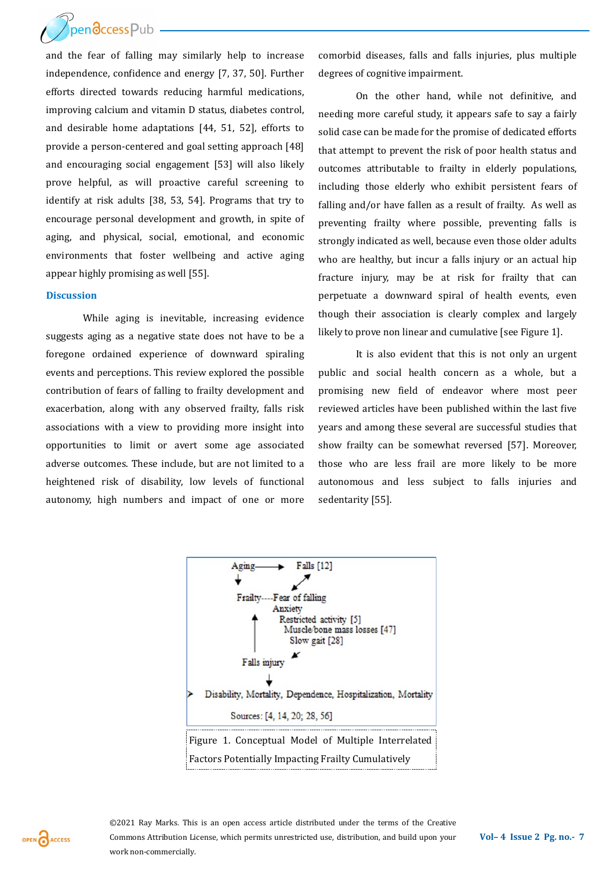pendccess Pub

and the fear of falling may similarly help to increase independence, confidence and energy [7, 37, 50]. Further efforts directed towards reducing harmful medications, improving calcium and vitamin D status, diabetes control, and desirable home adaptations [44, 51, 52], efforts to provide a person-centered and goal setting approach [48] and encouraging social engagement [53] will also likely prove helpful, as will proactive careful screening to identify at risk adults [38, 53, 54]. Programs that try to encourage personal development and growth, in spite of aging, and physical, social, emotional, and economic environments that foster wellbeing and active aging appear highly promising as well [55].

#### **Discussion**

While aging is inevitable, increasing evidence suggests aging as a negative state does not have to be a foregone ordained experience of downward spiraling events and perceptions. This review explored the possible contribution of fears of falling to frailty development and exacerbation, along with any observed frailty, falls risk associations with a view to providing more insight into opportunities to limit or avert some age associated adverse outcomes. These include, but are not limited to a heightened risk of disability, low levels of functional autonomy, high numbers and impact of one or more comorbid diseases, falls and falls injuries, plus multiple degrees of cognitive impairment.

On the other hand, while not definitive, and needing more careful study, it appears safe to say a fairly solid case can be made for the promise of dedicated efforts that attempt to prevent the risk of poor health status and outcomes attributable to frailty in elderly populations, including those elderly who exhibit persistent fears of falling and/or have fallen as a result of frailty. As well as preventing frailty where possible, preventing falls is strongly indicated as well, because even those older adults who are healthy, but incur a falls injury or an actual hip fracture injury, may be at risk for frailty that can perpetuate a downward spiral of health events, even though their association is clearly complex and largely likely to prove non linear and cumulative [see Figure 1].

It is also evident that this is not only an urgent public and social health concern as a whole, but a promising new field of endeavor where most peer reviewed articles have been published within the last five years and among these several are successful studies that show frailty can be somewhat reversed [57]. Moreover, those who are less frail are more likely to be more autonomous and less subject to falls injuries and sedentarity [55].



OPEN CACCESS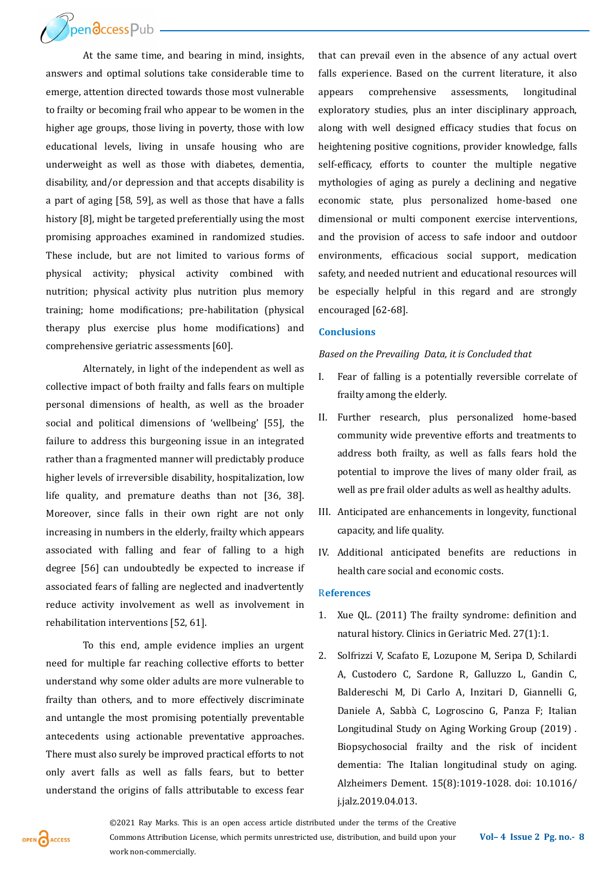**Thendccess Pub** 

At the same time, and bearing in mind, insights, answers and optimal solutions take considerable time to emerge, attention directed towards those most vulnerable to frailty or becoming frail who appear to be women in the higher age groups, those living in poverty, those with low educational levels, living in unsafe housing who are underweight as well as those with diabetes, dementia, disability, and/or depression and that accepts disability is a part of aging [58, 59], as well as those that have a falls history [8], might be targeted preferentially using the most promising approaches examined in randomized studies. These include, but are not limited to various forms of physical activity; physical activity combined with nutrition; physical activity plus nutrition plus memory training; home modifications; pre-habilitation (physical therapy plus exercise plus home modifications) and comprehensive geriatric assessments [60].

Alternately, in light of the independent as well as collective impact of both frailty and falls fears on multiple personal dimensions of health, as well as the broader social and political dimensions of 'wellbeing' [55], the failure to address this burgeoning issue in an integrated rather than a fragmented manner will predictably produce higher levels of irreversible disability, hospitalization, low life quality, and premature deaths than not [36, 38]. Moreover, since falls in their own right are not only increasing in numbers in the elderly, frailty which appears associated with falling and fear of falling to a high degree [56] can undoubtedly be expected to increase if associated fears of falling are neglected and inadvertently reduce activity involvement as well as involvement in rehabilitation interventions [52, 61].

To this end, ample evidence implies an urgent need for multiple far reaching collective efforts to better understand why some older adults are more vulnerable to frailty than others, and to more effectively discriminate and untangle the most promising potentially preventable antecedents using actionable preventative approaches. There must also surely be improved practical efforts to not only avert falls as well as falls fears, but to better understand the origins of falls attributable to excess fear

that can prevail even in the absence of any actual overt falls experience. Based on the current literature, it also appears comprehensive assessments, longitudinal exploratory studies, plus an inter disciplinary approach, along with well designed efficacy studies that focus on heightening positive cognitions, provider knowledge, falls self-efficacy, efforts to counter the multiple negative mythologies of aging as purely a declining and negative economic state, plus personalized home-based one dimensional or multi component exercise interventions, and the provision of access to safe indoor and outdoor environments, efficacious social support, medication safety, and needed nutrient and educational resources will be especially helpful in this regard and are strongly encouraged [62-68].

### **Conclusions**

#### *Based on the Prevailing Data, it is Concluded that*

- I. Fear of falling is a potentially reversible correlate of frailty among the elderly.
- II. Further research, plus personalized home-based community wide preventive efforts and treatments to address both frailty, as well as falls fears hold the potential to improve the lives of many older frail, as well as pre frail older adults as well as healthy adults.
- III. Anticipated are enhancements in longevity, functional capacity, and life quality.
- IV. Additional anticipated benefits are reductions in health care social and economic costs.

# R**eferences**

- 1. Xue QL. (2011) The frailty syndrome: definition and natural history. Clinics in Geriatric Med. 27(1):1.
- 2. Solfrizzi V, Scafato E, Lozupone M, Seripa D, Schilardi A, Custodero C, Sardone R, Galluzzo L, Gandin C, Baldereschi M, Di Carlo A, Inzitari D, Giannelli G, Daniele A, Sabba C, Logroscino G, Panza F; Italian Longitudinal Study on Aging Working Group (2019) . Biopsychosocial frailty and the risk of incident dementia: The Italian longitudinal study on aging. Alzheimers Dement. 15(8):1019-1028. doi: 10.1016/ j.jalz.2019.04.013.

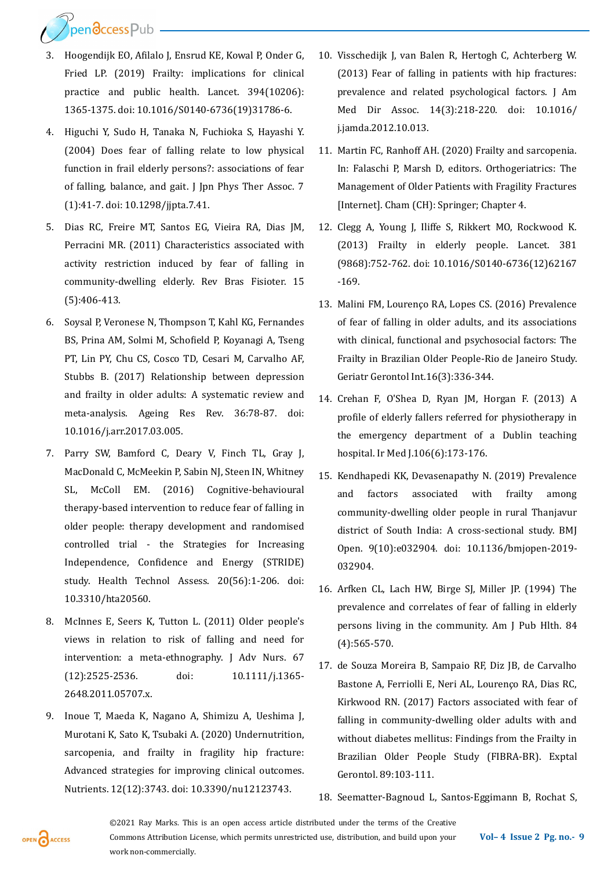Pendccess Pub

- 3. Hoogendijk EO, Afilalo J, Ensrud KE, Kowal P, Onder G, Fried LP. (2019) Frailty: implications for clinical practice and public health. Lancet. 394(10206): 1365-1375. doi: 10.1016/S0140-6736(19)31786-6.
- 4. Higuchi Y, Sudo H, Tanaka N, Fuchioka S, Hayashi Y. (2004) Does fear of falling relate to low physical function in frail elderly persons?: associations of fear of falling, balance, and gait. J Jpn Phys Ther Assoc. 7 (1):41-7. doi: 10.1298/jjpta.7.41.
- 5. Dias RC, Freire MT, Santos EG, Vieira RA, Dias JM, Perracini MR. (2011) Characteristics associated with activity restriction induced by fear of falling in community-dwelling elderly. Rev Bras Fisioter. 15 (5):406-413.
- 6. Soysal P, Veronese N, Thompson T, Kahl KG, Fernandes BS, Prina AM, Solmi M, Schofield P, Koyanagi A, Tseng PT, Lin PY, Chu CS, Cosco TD, Cesari M, Carvalho AF, Stubbs B. (2017) Relationship between depression and frailty in older adults: A systematic review and meta-analysis. Ageing Res Rev. 36:78-87. doi: 10.1016/j.arr.2017.03.005.
- 7. Parry SW, Bamford C, Deary V, Finch TL, Gray J, MacDonald C, McMeekin P, Sabin NJ, Steen IN, Whitney SL, McColl EM. (2016) Cognitive-behavioural therapy-based intervention to reduce fear of falling in older people: therapy development and randomised controlled trial - the Strategies for Increasing Independence, Confidence and Energy (STRIDE) study. Health Technol Assess. 20(56):1-206. doi: 10.3310/hta20560.
- 8. McInnes E, Seers K, Tutton L. (2011) Older people's views in relation to risk of falling and need for intervention: a meta-ethnography. J Adv Nurs. 67 (12):2525-2536. doi: 10.1111/j.1365- 2648.2011.05707.x.
- 9. Inoue T, Maeda K, Nagano A, Shimizu A, Ueshima J, Murotani K, Sato K, Tsubaki A. (2020) Undernutrition, sarcopenia, and frailty in fragility hip fracture: Advanced strategies for improving clinical outcomes. Nutrients. 12(12):3743. doi: 10.3390/nu12123743.
- 10. Visschedijk J, van Balen R, Hertogh C, Achterberg W. (2013) Fear of falling in patients with hip fractures: prevalence and related psychological factors. J Am Med Dir Assoc. 14(3):218-220. doi: 10.1016/ j.jamda.2012.10.013.
- 11. Martin FC, Ranhoff AH. (2020) Frailty and sarcopenia. In: Falaschi P, Marsh D, editors. Orthogeriatrics: The Management of Older Patients with Fragility Fractures [Internet]. Cham (CH): Springer; Chapter 4.
- 12. Clegg A, Young J, Iliffe S, Rikkert MO, Rockwood K. (2013) Frailty in elderly people. Lancet. 381 (9868):752-762. doi: 10.1016/S0140-6736(12)62167 -169.
- 13. Malini FM, Lourenço RA, Lopes CS. (2016) Prevalence of fear of falling in older adults, and its associations with clinical, functional and psychosocial factors: The Frailty in Brazilian Older People‐Rio de Janeiro Study. Geriatr Gerontol Int.16(3):336-344.
- 14. Crehan F, O'Shea D, Ryan JM, Horgan F. (2013) A profile of elderly fallers referred for physiotherapy in the emergency department of a Dublin teaching hospital. Ir Med J.106(6):173-176.
- 15. Kendhapedi KK, Devasenapathy N. (2019) Prevalence and factors associated with frailty among community-dwelling older people in rural Thanjavur district of South India: A cross-sectional study. BMJ Open. 9(10):e032904. doi: 10.1136/bmjopen-2019- 032904.
- 16. Arfken CL, Lach HW, Birge SJ, Miller JP. (1994) The prevalence and correlates of fear of falling in elderly persons living in the community. Am J Pub Hlth. 84 (4):565-570.
- 17. de Souza Moreira B, Sampaio RF, Diz JB, de Carvalho Bastone A, Ferriolli E, Neri AL, Lourenço RA, Dias RC, Kirkwood RN. (2017) Factors associated with fear of falling in community-dwelling older adults with and without diabetes mellitus: Findings from the Frailty in Brazilian Older People Study (FIBRA-BR). Exptal Gerontol. 89:103-111.
- 18. Seematter-Bagnoud L, Santos-Eggimann B, Rochat S,

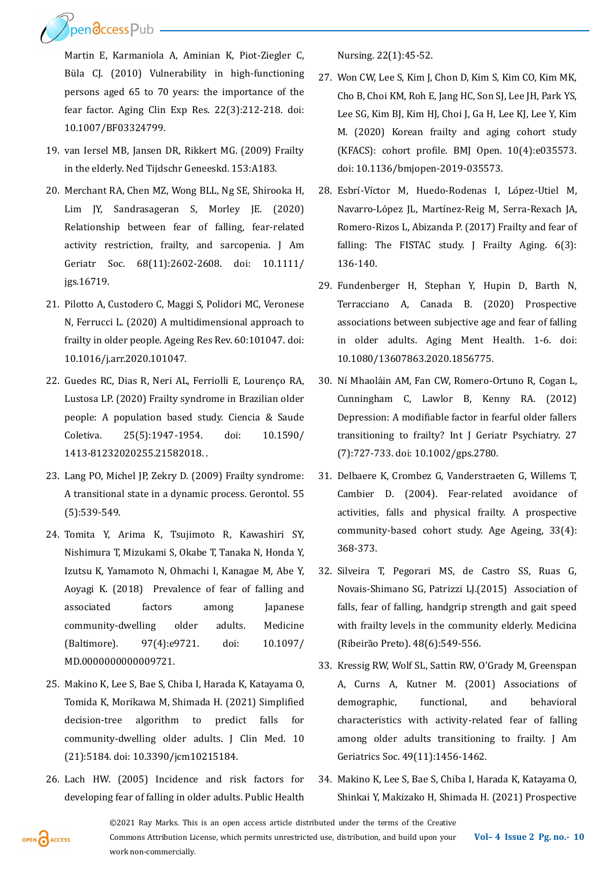Ppendccess Pub

Martin E, Karmaniola A, Aminian K, Piot-Ziegler C, Büla CJ. (2010) Vulnerability in high-functioning persons aged 65 to 70 years: the importance of the fear factor. Aging Clin Exp Res. 22(3):212-218. doi: 10.1007/BF03324799.

- 19. van Iersel MB, Jansen DR, Rikkert MG. (2009) Frailty in the elderly. Ned Tijdschr Geneeskd. 153:A183.
- 20. Merchant RA, Chen MZ, Wong BLL, Ng SE, Shirooka H, Lim JY, Sandrasageran S, Morley JE. (2020) Relationship between fear of falling, fear-related activity restriction, frailty, and sarcopenia. J Am Geriatr Soc. 68(11):2602-2608. doi: 10.1111/ jgs.16719.
- 21. Pilotto A, Custodero C, Maggi S, Polidori MC, Veronese N, Ferrucci L. (2020) A multidimensional approach to frailty in older people. Ageing Res Rev. 60:101047. doi: 10.1016/j.arr.2020.101047.
- 22. Guedes RC, Dias R, Neri AL, Ferriolli E, Lourenço RA, Lustosa LP. (2020) Frailty syndrome in Brazilian older people: A population based study. Ciencia & Saude Coletiva. 25(5):1947-1954. doi: 10.1590/ 1413-81232020255.21582018. .
- 23. Lang PO, Michel JP, Zekry D. (2009) Frailty syndrome: A transitional state in a dynamic process. Gerontol. 55 (5):539-549.
- 24. Tomita Y, Arima K, Tsujimoto R, Kawashiri SY, Nishimura T, Mizukami S, Okabe T, Tanaka N, Honda Y, Izutsu K, Yamamoto N, Ohmachi I, Kanagae M, Abe Y, Aoyagi K. (2018) Prevalence of fear of falling and associated factors among Japanese community-dwelling older adults. Medicine (Baltimore). 97(4):e9721. doi: 10.1097/ MD.0000000000009721.
- 25. Makino K, Lee S, Bae S, Chiba I, Harada K, Katayama O, Tomida K, Morikawa M, Shimada H. (2021) Simplified decision-tree algorithm to predict falls for community-dwelling older adults. J Clin Med. 10 (21):5184. doi: 10.3390/jcm10215184.
- 26. Lach HW. (2005) Incidence and risk factors for developing fear of falling in older adults. Public Health

Nursing. 22(1):45-52.

- 27. Won CW, Lee S, Kim J, Chon D, Kim S, Kim CO, Kim MK, Cho B, Choi KM, Roh E, Jang HC, Son SJ, Lee JH, Park YS, Lee SG, Kim BJ, Kim HJ, Choi J, Ga H, Lee KJ, Lee Y, Kim M. (2020) Korean frailty and aging cohort study (KFACS): cohort profile. BMJ Open. 10(4):e035573. doi: 10.1136/bmjopen-2019-035573.
- 28. Esbrí-Víctor M, Huedo-Rodenas I, López-Utiel M, Navarro-López JL, Martínez-Reig M, Serra-Rexach JA, Romero-Rizos L, Abizanda P. (2017) Frailty and fear of falling: The FISTAC study. J Frailty Aging. 6(3): 136-140.
- 29. Fundenberger H, Stephan Y, Hupin D, Barth N, Terracciano A, Canada B. (2020) Prospective associations between subjective age and fear of falling in older adults. Aging Ment Health. 1-6. doi: 10.1080/13607863.2020.1856775.
- 30. Ní Mhaoláin AM, Fan CW, Romero-Ortuno R, Cogan L, Cunningham C, Lawlor B, Kenny RA. (2012) Depression: A modifiable factor in fearful older fallers transitioning to frailty? Int J Geriatr Psychiatry. 27 (7):727-733. doi: 10.1002/gps.2780.
- 31. Delbaere K, Crombez G, Vanderstraeten G, Willems T, Cambier D. (2004). Fear-related avoidance of activities, falls and physical frailty. A prospective community-based cohort study. Age Ageing, 33(4): 368-373.
- 32. Silveira T, Pegorari MS, de Castro SS, Ruas G, Novais-Shimano SG, Patrizzi LJ.(2015) Association of falls, fear of falling, handgrip strength and gait speed with frailty levels in the community elderly. Medicina (Ribeirão Preto). 48(6):549-556.
- 33. Kressig RW, Wolf SL, Sattin RW, O'Grady M, Greenspan A, Curns A, Kutner M. (2001) Associations of demographic, functional, and behavioral characteristics with activity‐related fear of falling among older adults transitioning to frailty. J Am Geriatrics Soc. 49(11):1456-1462.
- 34. Makino K, Lee S, Bae S, Chiba I, Harada K, Katayama O, Shinkai Y, Makizako H, Shimada H. (2021) Prospective

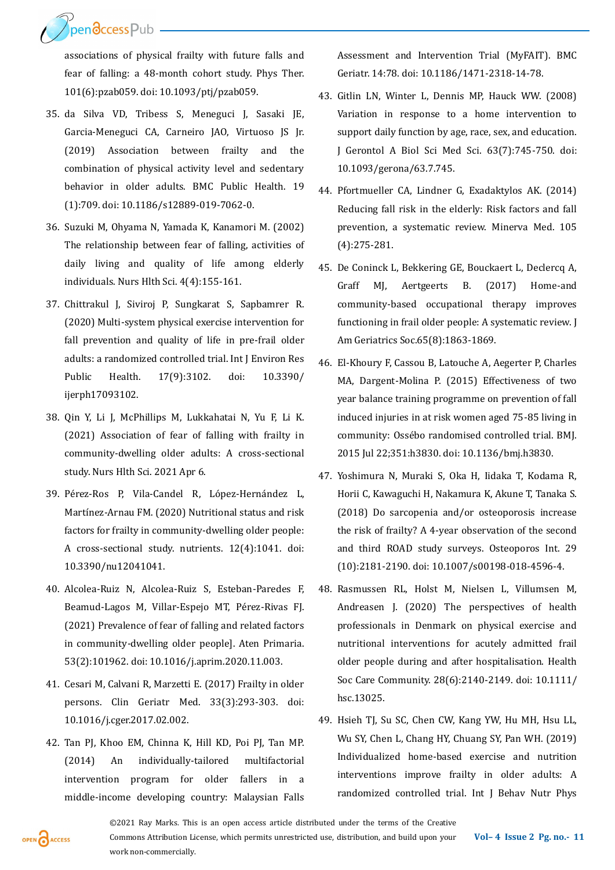Ppendccess Pub

associations of physical frailty with future falls and fear of falling: a 48-month cohort study. Phys Ther. 101(6):pzab059. doi: 10.1093/ptj/pzab059.

- 35. da Silva VD, Tribess S, Meneguci J, Sasaki JE, Garcia-Meneguci CA, Carneiro JAO, Virtuoso JS Jr. (2019) Association between frailty and the combination of physical activity level and sedentary behavior in older adults. BMC Public Health. 19 (1):709. doi: 10.1186/s12889-019-7062-0.
- 36. Suzuki M, Ohyama N, Yamada K, Kanamori M. (2002) The relationship between fear of falling, activities of daily living and quality of life among elderly individuals. Nurs Hlth Sci. 4(4):155-161.
- 37. Chittrakul J, Siviroj P, Sungkarat S, Sapbamrer R. (2020) Multi-system physical exercise intervention for fall prevention and quality of life in pre-frail older adults: a randomized controlled trial. Int J Environ Res Public Health. 17(9):3102. doi: 10.3390/ ijerph17093102.
- 38. Qin Y, Li J, McPhillips M, Lukkahatai N, Yu F, Li K. (2021) Association of fear of falling with frailty in community‐dwelling older adults: A cross‐sectional study. Nurs Hlth Sci. 2021 Apr 6.
- 39. Pérez-Ros P, Vila-Candel R, López-Hernández L, Martínez-Arnau FM. (2020) Nutritional status and risk factors for frailty in community-dwelling older people: A cross-sectional study. nutrients. 12(4):1041. doi: 10.3390/nu12041041.
- 40. Alcolea-Ruiz N, Alcolea-Ruiz S, Esteban-Paredes F, Beamud-Lagos M, Villar-Espejo MT, Pérez-Rivas FJ. (2021) Prevalence of fear of falling and related factors in community-dwelling older people]. Aten Primaria. 53(2):101962. doi: 10.1016/j.aprim.2020.11.003.
- 41. Cesari M, Calvani R, Marzetti E. (2017) Frailty in older persons. Clin Geriatr Med. 33(3):293-303. doi: 10.1016/j.cger.2017.02.002.
- 42. Tan PJ, Khoo EM, Chinna K, Hill KD, Poi PJ, Tan MP. (2014) An individually-tailored multifactorial intervention program for older fallers in a middle-income developing country: Malaysian Falls

Assessment and Intervention Trial (MyFAIT). BMC Geriatr. 14:78. doi: 10.1186/1471-2318-14-78.

- 43. Gitlin LN, Winter L, Dennis MP, Hauck WW. (2008) Variation in response to a home intervention to support daily function by age, race, sex, and education. J Gerontol A Biol Sci Med Sci. 63(7):745-750. doi: 10.1093/gerona/63.7.745.
- 44. Pfortmueller CA, Lindner G, Exadaktylos AK. (2014) Reducing fall risk in the elderly: Risk factors and fall prevention, a systematic review. Minerva Med. 105 (4):275-281.
- 45. De Coninck L, Bekkering GE, Bouckaert L, Declercq A, Graff MJ, Aertgeerts B. (2017) Home-and community‐based occupational therapy improves functioning in frail older people: A systematic review. J Am Geriatrics Soc.65(8):1863-1869.
- 46. El-Khoury F, Cassou B, Latouche A, Aegerter P, Charles MA, Dargent-Molina P. (2015) Effectiveness of two year balance training programme on prevention of fall induced injuries in at risk women aged 75-85 living in community: Ossébo randomised controlled trial. BMJ. 2015 Jul 22;351:h3830. doi: 10.1136/bmj.h3830.
- 47. Yoshimura N, Muraki S, Oka H, Iidaka T, Kodama R, Horii C, Kawaguchi H, Nakamura K, Akune T, Tanaka S. (2018) Do sarcopenia and/or osteoporosis increase the risk of frailty? A 4-year observation of the second and third ROAD study surveys. Osteoporos Int. 29 (10):2181-2190. doi: 10.1007/s00198-018-4596-4.
- 48. Rasmussen RL, Holst M, Nielsen L, Villumsen M, Andreasen J. (2020) The perspectives of health professionals in Denmark on physical exercise and nutritional interventions for acutely admitted frail older people during and after hospitalisation. Health Soc Care Community. 28(6):2140-2149. doi: 10.1111/ hsc.13025.
- 49. Hsieh TJ, Su SC, Chen CW, Kang YW, Hu MH, Hsu LL, Wu SY, Chen L, Chang HY, Chuang SY, Pan WH. (2019) Individualized home-based exercise and nutrition interventions improve frailty in older adults: A randomized controlled trial. Int J Behav Nutr Phys

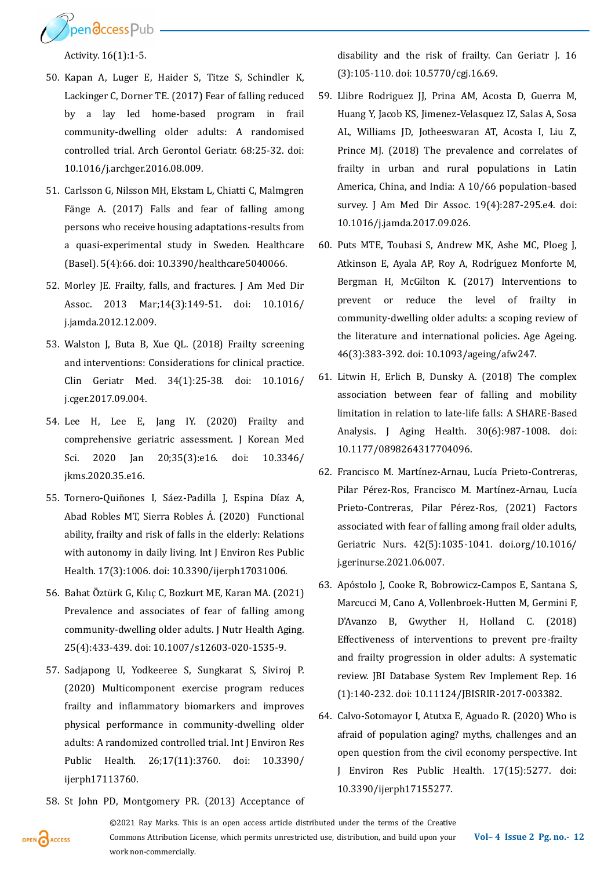

Activity. 16(1):1-5.

- 50. Kapan A, Luger E, Haider S, Titze S, Schindler K, Lackinger C, Dorner TE. (2017) Fear of falling reduced by a lay led home-based program in frail community-dwelling older adults: A randomised controlled trial. Arch Gerontol Geriatr. 68:25-32. doi: 10.1016/j.archger.2016.08.009.
- 51. Carlsson G, Nilsson MH, Ekstam L, Chiatti C, Malmgren Fänge A. (2017) Falls and fear of falling among persons who receive housing adaptations-results from a quasi-experimental study in Sweden. Healthcare (Basel). 5(4):66. doi: 10.3390/healthcare5040066.
- 52. Morley JE. Frailty, falls, and fractures. J Am Med Dir Assoc. 2013 Mar;14(3):149-51. doi: 10.1016/ j.jamda.2012.12.009.
- 53. Walston J, Buta B, Xue QL. (2018) Frailty screening and interventions: Considerations for clinical practice. Clin Geriatr Med. 34(1):25-38. doi: 10.1016/ j.cger.2017.09.004.
- 54. Lee H, Lee E, Jang IY. (2020) Frailty and comprehensive geriatric assessment. J Korean Med Sci. 2020 Jan 20;35(3):e16. doi: 10.3346/ jkms.2020.35.e16.
- 55. Tornero-Quiñones I, Sáez-Padilla J, Espina Díaz A, Abad Robles MT, Sierra Robles Á. (2020) Functional ability, frailty and risk of falls in the elderly: Relations with autonomy in daily living. Int J Environ Res Public Health. 17(3):1006. doi: 10.3390/ijerph17031006.
- 56. Bahat Öztürk G, Kılıç C, Bozkurt ME, Karan MA. (2021) Prevalence and associates of fear of falling among community-dwelling older adults. J Nutr Health Aging. 25(4):433-439. doi: 10.1007/s12603-020-1535-9.
- 57. Sadjapong U, Yodkeeree S, Sungkarat S, Siviroj P. (2020) Multicomponent exercise program reduces frailty and inflammatory biomarkers and improves physical performance in community-dwelling older adults: A randomized controlled trial. Int J Environ Res Public Health. 26;17(11):3760. doi: 10.3390/ ijerph17113760.
- 58. St John PD, Montgomery PR. (2013) Acceptance of

disability and the risk of frailty. Can Geriatr J. 16 (3):105-110. doi: 10.5770/cgj.16.69.

- 59. Llibre Rodriguez JJ, Prina AM, Acosta D, Guerra M, Huang Y, Jacob KS, Jimenez-Velasquez IZ, Salas A, Sosa AL, Williams JD, Jotheeswaran AT, Acosta I, Liu Z, Prince MJ. (2018) The prevalence and correlates of frailty in urban and rural populations in Latin America, China, and India: A 10/66 population-based survey. J Am Med Dir Assoc. 19(4):287-295.e4. doi: 10.1016/j.jamda.2017.09.026.
- 60. Puts MTE, Toubasi S, Andrew MK, Ashe MC, Ploeg J, Atkinson E, Ayala AP, Roy A, Rodríguez Monforte M, Bergman H, McGilton K. (2017) Interventions to prevent or reduce the level of frailty in community-dwelling older adults: a scoping review of the literature and international policies. Age Ageing. 46(3):383-392. doi: 10.1093/ageing/afw247.
- 61. Litwin H, Erlich B, Dunsky A. (2018) The complex association between fear of falling and mobility limitation in relation to late-life falls: A SHARE-Based Analysis. J Aging Health. 30(6):987-1008. doi: 10.1177/0898264317704096.
- 62. Francisco M. Martínez-Arnau, Lucía Prieto-Contreras, Pilar Pérez-Ros, Francisco M. Martínez-Arnau, Lucía Prieto-Contreras, Pilar Pérez-Ros, (2021) Factors associated with fear of falling among frail older adults, Geriatric Nurs. 42(5):1035-1041. doi.org/10.1016/ j.gerinurse.2021.06.007.
- 63. Apóstolo J, Cooke R, Bobrowicz-Campos E, Santana S, Marcucci M, Cano A, Vollenbroek-Hutten M, Germini F, D'Avanzo B, Gwyther H, Holland C. (2018) Effectiveness of interventions to prevent pre-frailty and frailty progression in older adults: A systematic review. JBI Database System Rev Implement Rep. 16 (1):140-232. doi: 10.11124/JBISRIR-2017-003382.
- 64. Calvo-Sotomayor I, Atutxa E, Aguado R. (2020) Who is afraid of population aging? myths, challenges and an open question from the civil economy perspective. Int J Environ Res Public Health. 17(15):5277. doi: 10.3390/ijerph17155277.

©2021 Ray Marks. This is an open access article distributed under the terms of the Creative Commons Attribution License, which permits unrestricted use, distribution, and build upon your work non-commercially.

OPEN CACCESS